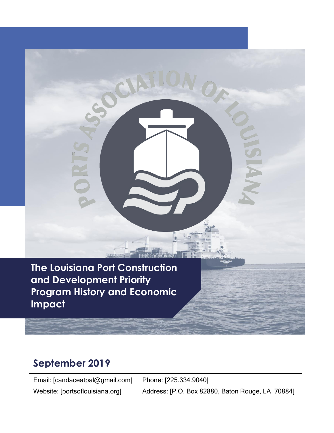**The Louisiana Port Construction and Development Priority Program History and Economic Impact**

CIA

# **September 2019**

Email: [candaceatpal@gmail.com] Website: [portsoflouisiana.org]

Phone: [225.334.9040] Address: [P.O. Box 82880, Baton Rouge, LA 70884]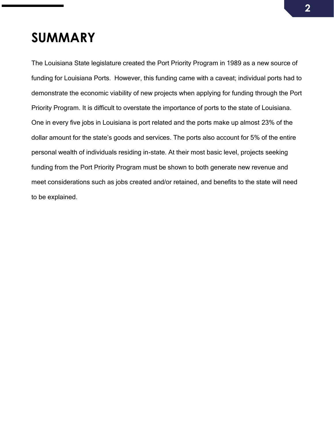# **SUMMARY**

The Louisiana State legislature created the Port Priority Program in 1989 as a new source of funding for Louisiana Ports. However, this funding came with a caveat; individual ports had to demonstrate the economic viability of new projects when applying for funding through the Port Priority Program. It is difficult to overstate the importance of ports to the state of Louisiana. One in every five jobs in Louisiana is port related and the ports make up almost 23% of the dollar amount for the state's goods and services. The ports also account for 5% of the entire personal wealth of individuals residing in-state. At their most basic level, projects seeking funding from the Port Priority Program must be shown to both generate new revenue and meet considerations such as jobs created and/or retained, and benefits to the state will need to be explained.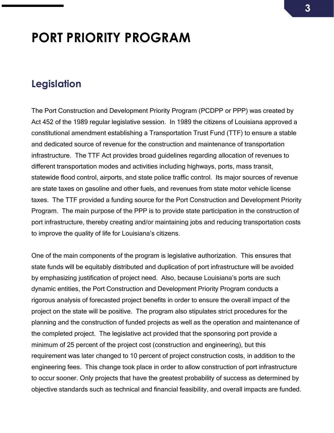# **PORT PRIORITY PROGRAM**

#### **Legislation**

The Port Construction and Development Priority Program (PCDPP or PPP) was created by Act 452 of the 1989 regular legislative session. In 1989 the citizens of Louisiana approved a constitutional amendment establishing a Transportation Trust Fund (TTF) to ensure a stable and dedicated source of revenue for the construction and maintenance of transportation infrastructure. The TTF Act provides broad guidelines regarding allocation of revenues to different transportation modes and activities including highways, ports, mass transit, statewide flood control, airports, and state police traffic control. Its major sources of revenue are state taxes on gasoline and other fuels, and revenues from state motor vehicle license taxes. The TTF provided a funding source for the Port Construction and Development Priority Program. The main purpose of the PPP is to provide state participation in the construction of port infrastructure, thereby creating and/or maintaining jobs and reducing transportation costs to improve the quality of life for Louisiana's citizens.

One of the main components of the program is legislative authorization. This ensures that state funds will be equitably distributed and duplication of port infrastructure will be avoided by emphasizing justification of project need. Also, because Louisiana's ports are such dynamic entities, the Port Construction and Development Priority Program conducts a rigorous analysis of forecasted project benefits in order to ensure the overall impact of the project on the state will be positive. The program also stipulates strict procedures for the planning and the construction of funded projects as well as the operation and maintenance of the completed project. The legislative act provided that the sponsoring port provide a minimum of 25 percent of the project cost (construction and engineering), but this requirement was later changed to 10 percent of project construction costs, in addition to the engineering fees. This change took place in order to allow construction of port infrastructure to occur sooner. Only projects that have the greatest probability of success as determined by objective standards such as technical and financial feasibility, and overall impacts are funded.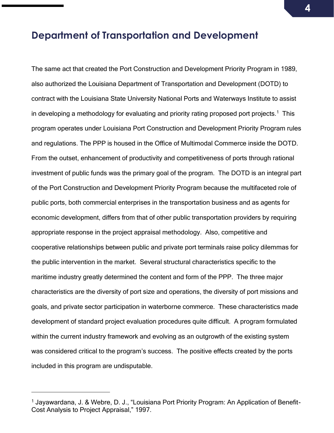#### **Department of Transportation and Development**

The same act that created the Port Construction and Development Priority Program in 1989, also authorized the Louisiana Department of Transportation and Development (DOTD) to contract with the Louisiana State University National Ports and Waterways Institute to assist in developing a methodology for evaluating and priority rating proposed port projects.<sup>1</sup> This program operates under Louisiana Port Construction and Development Priority Program rules and regulations. The PPP is housed in the Office of Multimodal Commerce inside the DOTD. From the outset, enhancement of productivity and competitiveness of ports through rational investment of public funds was the primary goal of the program. The DOTD is an integral part of the Port Construction and Development Priority Program because the multifaceted role of public ports, both commercial enterprises in the transportation business and as agents for economic development, differs from that of other public transportation providers by requiring appropriate response in the project appraisal methodology. Also, competitive and cooperative relationships between public and private port terminals raise policy dilemmas for the public intervention in the market. Several structural characteristics specific to the maritime industry greatly determined the content and form of the PPP. The three major characteristics are the diversity of port size and operations, the diversity of port missions and goals, and private sector participation in waterborne commerce. These characteristics made development of standard project evaluation procedures quite difficult. A program formulated within the current industry framework and evolving as an outgrowth of the existing system was considered critical to the program's success. The positive effects created by the ports included in this program are undisputable.

<sup>&</sup>lt;sup>1</sup> Jayawardana, J. & Webre, D. J., "Louisiana Port Priority Program: An Application of Benefit-Cost Analysis to Project Appraisal," 1997.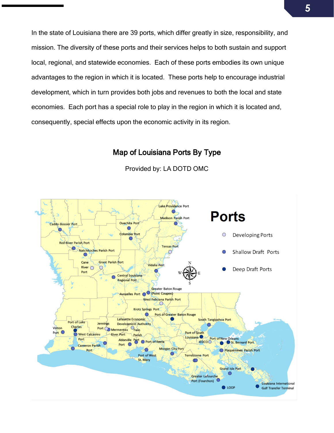In the state of Louisiana there are 39 ports, which differ greatly in size, responsibility, and mission. The diversity of these ports and their services helps to both sustain and support local, regional, and statewide economies. Each of these ports embodies its own unique advantages to the region in which it is located. These ports help to encourage industrial development, which in turn provides both jobs and revenues to both the local and state economies. Each port has a special role to play in the region in which it is located and, consequently, special effects upon the economic activity in its region.

#### Map of Louisiana Ports By Type



Provided by: LA DOTD OMC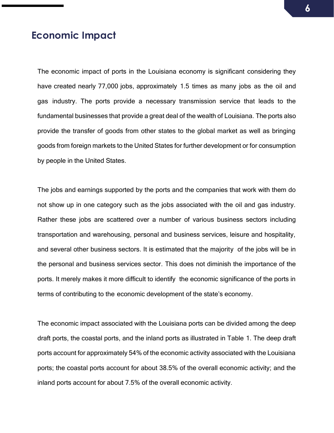#### **Economic Impact**

The economic impact of ports in the Louisiana economy is significant considering they have created nearly 77,000 jobs, approximately 1.5 times as many jobs as the oil and gas industry. The ports provide a necessary transmission service that leads to the fundamental businesses that provide a great deal of the wealth of Louisiana. The ports also provide the transfer of goods from other states to the global market as well as bringing goods from foreign markets to the United States for further development or for consumption by people in the United States.

The jobs and earnings supported by the ports and the companies that work with them do not show up in one category such as the jobs associated with the oil and gas industry. Rather these jobs are scattered over a number of various business sectors including transportation and warehousing, personal and business services, leisure and hospitality, and several other business sectors. It is estimated that the majority of the jobs will be in the personal and business services sector. This does not diminish the importance of the ports. It merely makes it more difficult to identify the economic significance of the ports in terms of contributing to the economic development of the state's economy.

The economic impact associated with the Louisiana ports can be divided among the deep draft ports, the coastal ports, and the inland ports as illustrated in Table 1. The deep draft ports account for approximately 54% of the economic activity associated with the Louisiana ports; the coastal ports account for about 38.5% of the overall economic activity; and the inland ports account for about 7.5% of the overall economic activity.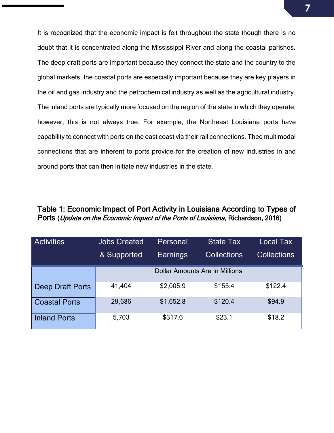It is recognized that the economic impact is felt throughout the state though there is no doubt that it is concentrated along the Mississippi River and along the coastal parishes. The deep draft ports are important because they connect the state and the country to the global markets; the coastal ports are especially important because they are key players in the oil and gas industry and the petrochemical industry as well as the agricultural industry. The inland ports are typically more focused on the region of the state in which they operate; however, this is not always true. For example, the Northeast Louisiana ports have capability to connect with ports on the east coast via their rail connections. Thee multimodal connections that are inherent to ports provide for the creation of new industries in and around ports that can then initiate new industries in the state.

#### Table 1: Economic Impact of Port Activity in Louisiana According to Types of Ports (Update on the Economic Impact of the Ports of Louisiana, Richardson, 2016)

| <b>Activities</b>       | <b>Jobs Created</b> | Personal  | <b>State Tax</b>                      | Local Tax          |
|-------------------------|---------------------|-----------|---------------------------------------|--------------------|
|                         | & Supported         | Earnings  | <b>Collections</b>                    | <b>Collections</b> |
|                         |                     |           | <b>Dollar Amounts Are In Millions</b> |                    |
| <b>Deep Draft Ports</b> | 41,404              | \$2,005.9 | \$155.4                               | \$122.4            |
| <b>Coastal Ports</b>    | 29,686              | \$1,652.8 | \$120.4                               | \$94.9             |
| <b>Inland Ports</b>     | 5,703               | \$317.6   | \$23.1                                | \$18.2             |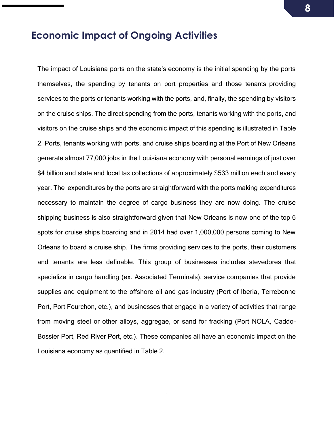### **Economic Impact of Ongoing Activities**

The impact of Louisiana ports on the state's economy is the initial spending by the ports themselves, the spending by tenants on port properties and those tenants providing services to the ports or tenants working with the ports, and, finally, the spending by visitors on the cruise ships. The direct spending from the ports, tenants working with the ports, and visitors on the cruise ships and the economic impact of this spending is illustrated in Table 2. Ports, tenants working with ports, and cruise ships boarding at the Port of New Orleans generate almost 77,000 jobs in the Louisiana economy with personal earnings of just over \$4 billion and state and local tax collections of approximately \$533 million each and every year. The expenditures by the ports are straightforward with the ports making expenditures necessary to maintain the degree of cargo business they are now doing. The cruise shipping business is also straightforward given that New Orleans is now one of the top 6 spots for cruise ships boarding and in 2014 had over 1,000,000 persons coming to New Orleans to board a cruise ship. The firms providing services to the ports, their customers and tenants are less definable. This group of businesses includes stevedores that specialize in cargo handling (ex. Associated Terminals), service companies that provide supplies and equipment to the offshore oil and gas industry (Port of Iberia, Terrebonne Port, Port Fourchon, etc.), and businesses that engage in a variety of activities that range from moving steel or other alloys, aggregae, or sand for fracking (Port NOLA, Caddo-Bossier Port, Red River Port, etc.). These companies all have an economic impact on the Louisiana economy as quantified in Table 2.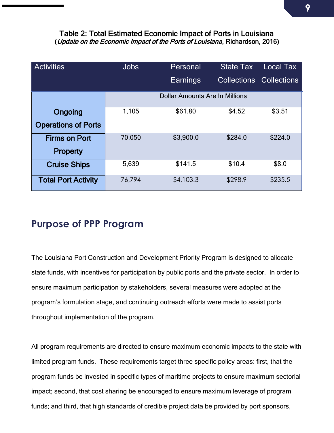#### Table 2: Total Estimated Economic Impact of Ports in Louisiana (Update on the Economic Impact of the Ports of Louisiana, Richardson, 2016)

| <b>Activities</b>          | <b>Jobs</b> | Personal                              | <b>State Tax</b> | <b>Local Tax</b>               |
|----------------------------|-------------|---------------------------------------|------------------|--------------------------------|
|                            |             | Earnings                              |                  | <b>Collections Collections</b> |
|                            |             | <b>Dollar Amounts Are In Millions</b> |                  |                                |
| Ongoing                    | 1,105       | \$61.80                               | \$4.52           | \$3.51                         |
| <b>Operations of Ports</b> |             |                                       |                  |                                |
| <b>Firms on Port</b>       | 70,050      | \$3,900.0                             | \$284.0          | \$224.0                        |
| <b>Property</b>            |             |                                       |                  |                                |
| <b>Cruise Ships</b>        | 5,639       | \$141.5                               | \$10.4           | \$8.0                          |
| <b>Total Port Activity</b> | 76,794      | \$4,103.3                             | \$298.9          | \$235.5                        |

### **Purpose of PPP Program**

The Louisiana Port Construction and Development Priority Program is designed to allocate state funds, with incentives for participation by public ports and the private sector. In order to ensure maximum participation by stakeholders, several measures were adopted at the program's formulation stage, and continuing outreach efforts were made to assist ports throughout implementation of the program.

All program requirements are directed to ensure maximum economic impacts to the state with limited program funds. These requirements target three specific policy areas: first, that the program funds be invested in specific types of maritime projects to ensure maximum sectorial impact; second, that cost sharing be encouraged to ensure maximum leverage of program funds; and third, that high standards of credible project data be provided by port sponsors,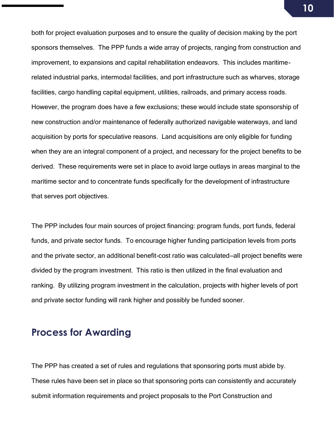both for project evaluation purposes and to ensure the quality of decision making by the port sponsors themselves. The PPP funds a wide array of projects, ranging from construction and improvement, to expansions and capital rehabilitation endeavors. This includes maritimerelated industrial parks, intermodal facilities, and port infrastructure such as wharves, storage facilities, cargo handling capital equipment, utilities, railroads, and primary access roads. However, the program does have a few exclusions; these would include state sponsorship of new construction and/or maintenance of federally authorized navigable waterways, and land acquisition by ports for speculative reasons. Land acquisitions are only eligible for funding when they are an integral component of a project, and necessary for the project benefits to be derived. These requirements were set in place to avoid large outlays in areas marginal to the maritime sector and to concentrate funds specifically for the development of infrastructure that serves port objectives.

The PPP includes four main sources of project financing: program funds, port funds, federal funds, and private sector funds. To encourage higher funding participation levels from ports and the private sector, an additional benefit-cost ratio was calculated—all project benefits were divided by the program investment. This ratio is then utilized in the final evaluation and ranking. By utilizing program investment in the calculation, projects with higher levels of port and private sector funding will rank higher and possibly be funded sooner.

### **Process for Awarding**

The PPP has created a set of rules and regulations that sponsoring ports must abide by. These rules have been set in place so that sponsoring ports can consistently and accurately submit information requirements and project proposals to the Port Construction and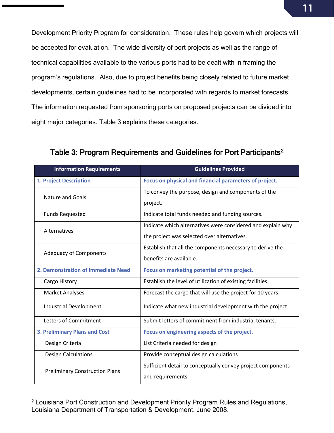Development Priority Program for consideration. These rules help govern which projects will be accepted for evaluation. The wide diversity of port projects as well as the range of technical capabilities available to the various ports had to be dealt with in framing the program's regulations. Also, due to project benefits being closely related to future market developments, certain guidelines had to be incorporated with regards to market forecasts. The information requested from sponsoring ports on proposed projects can be divided into eight major categories. Table 3 explains these categories.

| <b>Information Requirements</b>       | <b>Guidelines Provided</b>                                  |  |  |
|---------------------------------------|-------------------------------------------------------------|--|--|
| <b>1. Project Description</b>         | Focus on physical and financial parameters of project.      |  |  |
| Nature and Goals                      | To convey the purpose, design and components of the         |  |  |
|                                       | project.                                                    |  |  |
| <b>Funds Requested</b>                | Indicate total funds needed and funding sources.            |  |  |
| <b>Alternatives</b>                   | Indicate which alternatives were considered and explain why |  |  |
|                                       | the project was selected over alternatives.                 |  |  |
| <b>Adequacy of Components</b>         | Establish that all the components necessary to derive the   |  |  |
|                                       | benefits are available.                                     |  |  |
| 2. Demonstration of Immediate Need    | Focus on marketing potential of the project.                |  |  |
| Cargo History                         | Establish the level of utilization of existing facilities.  |  |  |
| <b>Market Analyses</b>                | Forecast the cargo that will use the project for 10 years.  |  |  |
| <b>Industrial Development</b>         | Indicate what new industrial development with the project.  |  |  |
| Letters of Commitment                 | Submit letters of commitment from industrial tenants.       |  |  |
| <b>3. Preliminary Plans and Cost</b>  | Focus on engineering aspects of the project.                |  |  |
| Design Criteria                       | List Criteria needed for design                             |  |  |
| <b>Design Calculations</b>            | Provide conceptual design calculations                      |  |  |
| <b>Preliminary Construction Plans</b> | Sufficient detail to conceptually convey project components |  |  |
|                                       | and requirements.                                           |  |  |

Table 3: Program Requirements and Guidelines for Port Participants<sup>2</sup>

<sup>2</sup> Louisiana Port Construction and Development Priority Program Rules and Regulations, Louisiana Department of Transportation & Development. June 2008.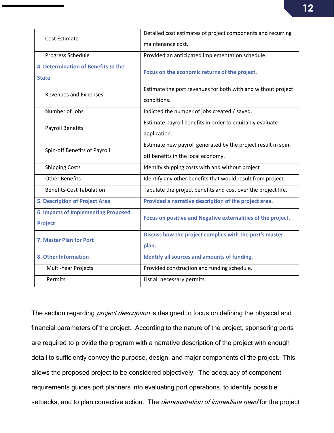| Cost Estimate                              | Detailed cost estimates of project components and recurring   |  |  |
|--------------------------------------------|---------------------------------------------------------------|--|--|
|                                            | maintenance cost.                                             |  |  |
| Progress Schedule                          | Provided an anticipated implementation schedule.              |  |  |
| 4. Determination of Benefits to the        | Focus on the economic returns of the project.                 |  |  |
| <b>State</b>                               |                                                               |  |  |
| Revenues and Expenses                      | Estimate the port revenues for both with and without project  |  |  |
|                                            | conditions.                                                   |  |  |
| Number of Jobs                             | Indicted the number of jobs created / saved.                  |  |  |
| <b>Payroll Benefits</b>                    | Estimate payroll benefits in order to equitably evaluate      |  |  |
|                                            | application.                                                  |  |  |
| Spin-off Benefits of Payroll               | Estimate new payroll generated by the project result in spin- |  |  |
|                                            | off benefits in the local economy.                            |  |  |
| <b>Shipping Costs</b>                      | Identify shipping costs with and without project              |  |  |
| <b>Other Benefits</b>                      | Identify any other benefits that would result from project.   |  |  |
| <b>Benefits-Cost Tabulation</b>            | Tabulate the project benefits and cost over the project life. |  |  |
| <b>5. Description of Project Area</b>      | Provided a narrative description of the project area.         |  |  |
| <b>6. Impacts of Implementing Proposed</b> | Focus on positive and Negative externalities of the project.  |  |  |
| <b>Project</b>                             |                                                               |  |  |
| 7. Master Plan for Port                    | Discuss how the project complies with the port's master       |  |  |
|                                            | plan.                                                         |  |  |
| 8. Other Information                       | Identify all sources and amounts of funding.                  |  |  |
| Multi-Year Projects                        | Provided construction and funding schedule.                   |  |  |
| Permits                                    | List all necessary permits.                                   |  |  |

The section regarding *project description* is designed to focus on defining the physical and financial parameters of the project. According to the nature of the project, sponsoring ports are required to provide the program with a narrative description of the project with enough detail to sufficiently convey the purpose, design, and major components of the project. This allows the proposed project to be considered objectively. The adequacy of component requirements guides port planners into evaluating port operations, to identify possible setbacks, and to plan corrective action. The *demonstration of immediate need* for the project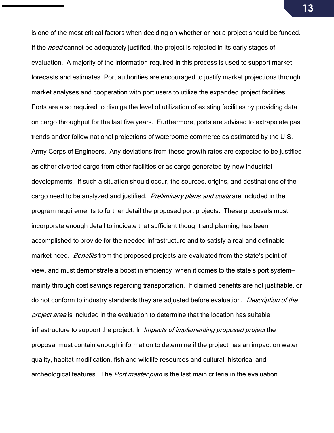is one of the most critical factors when deciding on whether or not a project should be funded. If the need cannot be adequately justified, the project is rejected in its early stages of evaluation. A majority of the information required in this process is used to support market forecasts and estimates. Port authorities are encouraged to justify market projections through market analyses and cooperation with port users to utilize the expanded project facilities. Ports are also required to divulge the level of utilization of existing facilities by providing data on cargo throughput for the last five years. Furthermore, ports are advised to extrapolate past trends and/or follow national projections of waterborne commerce as estimated by the U.S. Army Corps of Engineers. Any deviations from these growth rates are expected to be justified as either diverted cargo from other facilities or as cargo generated by new industrial developments. If such a situation should occur, the sources, origins, and destinations of the cargo need to be analyzed and justified. Preliminary plans and costs are included in the program requirements to further detail the proposed port projects. These proposals must incorporate enough detail to indicate that sufficient thought and planning has been accomplished to provide for the needed infrastructure and to satisfy a real and definable market need. Benefits from the proposed projects are evaluated from the state's point of view, and must demonstrate a boost in efficiency when it comes to the state's port system mainly through cost savings regarding transportation. If claimed benefits are not justifiable, or do not conform to industry standards they are adjusted before evaluation. Description of the project area is included in the evaluation to determine that the location has suitable infrastructure to support the project. In Impacts of implementing proposed project the proposal must contain enough information to determine if the project has an impact on water quality, habitat modification, fish and wildlife resources and cultural, historical and archeological features. The *Port master plan* is the last main criteria in the evaluation.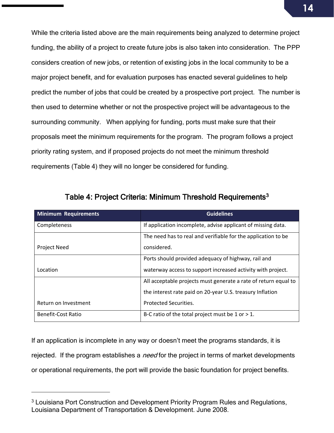While the criteria listed above are the main requirements being analyzed to determine project funding, the ability of a project to create future jobs is also taken into consideration. The PPP considers creation of new jobs, or retention of existing jobs in the local community to be a major project benefit, and for evaluation purposes has enacted several guidelines to help predict the number of jobs that could be created by a prospective port project. The number is then used to determine whether or not the prospective project will be advantageous to the surrounding community. When applying for funding, ports must make sure that their proposals meet the minimum requirements for the program. The program follows a project priority rating system, and if proposed projects do not meet the minimum threshold requirements (Table 4) they will no longer be considered for funding.

| <b>Minimum Requirements</b> | <b>Guidelines</b>                                               |
|-----------------------------|-----------------------------------------------------------------|
| Completeness                | If application incomplete, advise applicant of missing data.    |
|                             | The need has to real and verifiable for the application to be   |
| <b>Project Need</b>         | considered.                                                     |
|                             | Ports should provided adequacy of highway, rail and             |
| Location                    | waterway access to support increased activity with project.     |
|                             | All acceptable projects must generate a rate of return equal to |
|                             | the interest rate paid on 20-year U.S. treasury Inflation       |
| Return on Investment        | <b>Protected Securities.</b>                                    |
| Benefit-Cost Ratio          | B-C ratio of the total project must be $1$ or $> 1$ .           |

Table 4: Project Criteria: Minimum Threshold Requirements<sup>3</sup>

If an application is incomplete in any way or doesn't meet the programs standards, it is rejected. If the program establishes a *need* for the project in terms of market developments or operational requirements, the port will provide the basic foundation for project benefits.

<sup>&</sup>lt;sup>3</sup> Louisiana Port Construction and Development Priority Program Rules and Regulations, Louisiana Department of Transportation & Development. June 2008.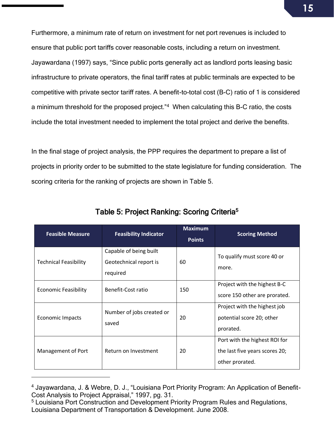Furthermore, a minimum rate of return on investment for net port revenues is included to ensure that public port tariffs cover reasonable costs, including a return on investment. Jayawardana (1997) says, "Since public ports generally act as landlord ports leasing basic infrastructure to private operators, the final tariff rates at public terminals are expected to be competitive with private sector tariff rates. A benefit-to-total cost (B-C) ratio of 1 is considered a minimum threshold for the proposed project."<sup>4</sup> When calculating this B-C ratio, the costs include the total investment needed to implement the total project and derive the benefits.

In the final stage of project analysis, the PPP requires the department to prepare a list of projects in priority order to be submitted to the state legislature for funding consideration. The scoring criteria for the ranking of projects are shown in Table 5.

| <b>Feasible Measure</b>      | <b>Feasibility Indicator</b>                                 | <b>Maximum</b><br><b>Points</b> | <b>Scoring Method</b>                                                              |
|------------------------------|--------------------------------------------------------------|---------------------------------|------------------------------------------------------------------------------------|
| <b>Technical Feasibility</b> | Capable of being built<br>Geotechnical report is<br>required | 60                              | To qualify must score 40 or<br>more.                                               |
| <b>Economic Feasibility</b>  | Benefit-Cost ratio                                           | 150                             | Project with the highest B-C<br>score 150 other are prorated.                      |
| <b>Economic Impacts</b>      | Number of jobs created or<br>saved                           | 20                              | Project with the highest job<br>potential score 20; other<br>prorated.             |
| Management of Port           | Return on Investment                                         | 20                              | Port with the highest ROI for<br>the last five years scores 20;<br>other prorated. |

Table 5: Project Ranking: Scoring Criteria<sup>5</sup>

<sup>4</sup> Jayawardana, J. & Webre, D. J., "Louisiana Port Priority Program: An Application of Benefit-Cost Analysis to Project Appraisal," 1997, pg. 31.

<sup>5</sup> Louisiana Port Construction and Development Priority Program Rules and Regulations, Louisiana Department of Transportation & Development. June 2008.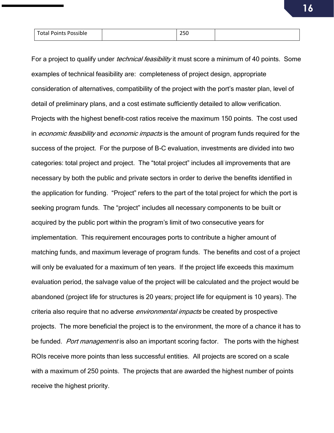| <b>Total Points Possible</b> | $\sim$ $\sim$ $\sim$<br>25U |  |
|------------------------------|-----------------------------|--|
|                              |                             |  |

For a project to qualify under *technical feasibility* it must score a minimum of 40 points. Some examples of technical feasibility are: completeness of project design, appropriate consideration of alternatives, compatibility of the project with the port's master plan, level of detail of preliminary plans, and a cost estimate sufficiently detailed to allow verification. Projects with the highest benefit-cost ratios receive the maximum 150 points. The cost used in *economic feasibility* and *economic impacts* is the amount of program funds required for the success of the project. For the purpose of B-C evaluation, investments are divided into two categories: total project and project. The "total project" includes all improvements that are necessary by both the public and private sectors in order to derive the benefits identified in the application for funding. "Project" refers to the part of the total project for which the port is seeking program funds. The "project" includes all necessary components to be built or acquired by the public port within the program's limit of two consecutive years for implementation. This requirement encourages ports to contribute a higher amount of matching funds, and maximum leverage of program funds. The benefits and cost of a project will only be evaluated for a maximum of ten years. If the project life exceeds this maximum evaluation period, the salvage value of the project will be calculated and the project would be abandoned (project life for structures is 20 years; project life for equipment is 10 years). The criteria also require that no adverse *environmental impacts* be created by prospective projects. The more beneficial the project is to the environment, the more of a chance it has to be funded. *Port management* is also an important scoring factor. The ports with the highest ROIs receive more points than less successful entities. All projects are scored on a scale with a maximum of 250 points. The projects that are awarded the highest number of points receive the highest priority.

**16**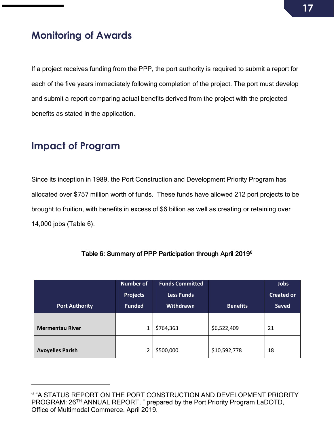## **Monitoring of Awards**

If a project receives funding from the PPP, the port authority is required to submit a report for each of the five years immediately following completion of the project. The port must develop and submit a report comparing actual benefits derived from the project with the projected benefits as stated in the application.

### **Impact of Program**

Since its inception in 1989, the Port Construction and Development Priority Program has allocated over \$757 million worth of funds. These funds have allowed 212 port projects to be brought to fruition, with benefits in excess of \$6 billion as well as creating or retaining over 14,000 jobs (Table 6).

|                         | <b>Number of</b><br><b>Projects</b> | <b>Funds Committed</b><br><b>Less Funds</b> |                 | Jobs<br><b>Created or</b> |
|-------------------------|-------------------------------------|---------------------------------------------|-----------------|---------------------------|
| <b>Port Authority</b>   | <b>Funded</b>                       | Withdrawn                                   | <b>Benefits</b> | <b>Saved</b>              |
| <b>Mermentau River</b>  |                                     | \$764,363                                   | \$6,522,409     | 21                        |
| <b>Avoyelles Parish</b> |                                     | \$500,000                                   | \$10,592,778    | 18                        |

#### Table 6: Summary of PPP Participation through April 2019<sup>6</sup>

<sup>6</sup> "A STATUS REPORT ON THE PORT CONSTRUCTION AND DEVELOPMENT PRIORITY PROGRAM: 26<sup>TH</sup> ANNUAL REPORT, " prepared by the Port Priority Program LaDOTD, Office of Multimodal Commerce. April 2019.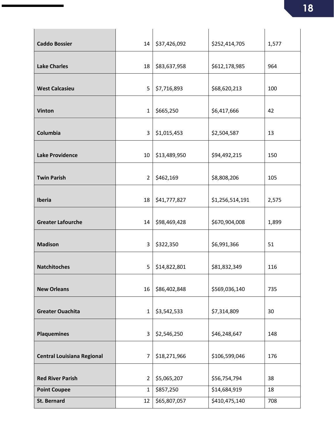| <b>Caddo Bossier</b>              | 14             | \$37,426,092 | \$252,414,705   | 1,577 |
|-----------------------------------|----------------|--------------|-----------------|-------|
| <b>Lake Charles</b>               | 18             | \$83,637,958 | \$612,178,985   | 964   |
| <b>West Calcasieu</b>             | 5              | \$7,716,893  | \$68,620,213    | 100   |
| <b>Vinton</b>                     | $\mathbf{1}$   | \$665,250    | \$6,417,666     | 42    |
| Columbia                          | 3              | \$1,015,453  | \$2,504,587     | 13    |
| <b>Lake Providence</b>            | 10             | \$13,489,950 | \$94,492,215    | 150   |
| <b>Twin Parish</b>                | $\overline{2}$ | \$462,169    | \$8,808,206     | 105   |
| Iberia                            | 18             | \$41,777,827 | \$1,256,514,191 | 2,575 |
| <b>Greater Lafourche</b>          | 14             | \$98,469,428 | \$670,904,008   | 1,899 |
| <b>Madison</b>                    | 3              | \$322,350    | \$6,991,366     | 51    |
| <b>Natchitoches</b>               | 5              | \$14,822,801 | \$81,832,349    | 116   |
| <b>New Orleans</b>                | 16             | \$86,402,848 | \$569,036,140   | 735   |
| <b>Greater Ouachita</b>           | $\mathbf{1}$   | \$3,542,533  | \$7,314,809     | 30    |
| <b>Plaquemines</b>                | 3              | \$2,546,250  | \$46,248,647    | 148   |
| <b>Central Louisiana Regional</b> | $\overline{7}$ | \$18,271,966 | \$106,599,046   | 176   |
| <b>Red River Parish</b>           | $\overline{2}$ | \$5,065,207  | \$56,754,794    | 38    |
| <b>Point Coupee</b>               | $\mathbf{1}$   | \$857,250    | \$14,684,919    | 18    |
| <b>St. Bernard</b>                | 12             | \$65,807,057 | \$410,475,140   | 708   |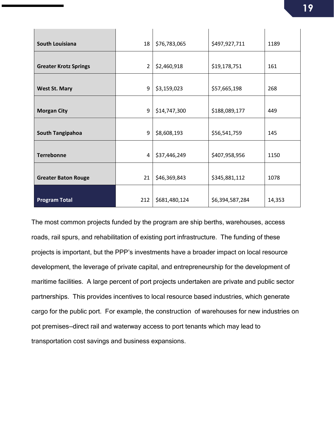| South Louisiana              | 18             | \$76,783,065  | \$497,927,711   | 1189   |
|------------------------------|----------------|---------------|-----------------|--------|
|                              |                |               |                 |        |
| <b>Greater Krotz Springs</b> | $\overline{2}$ | \$2,460,918   | \$19,178,751    | 161    |
| <b>West St. Mary</b>         | 9              | \$3,159,023   | \$57,665,198    | 268    |
| <b>Morgan City</b>           | 9              | \$14,747,300  | \$188,089,177   | 449    |
| <b>South Tangipahoa</b>      | 9              | \$8,608,193   | \$56,541,759    | 145    |
| <b>Terrebonne</b>            | 4              | \$37,446,249  | \$407,958,956   | 1150   |
| <b>Greater Baton Rouge</b>   | 21             | \$46,369,843  | \$345,881,112   | 1078   |
| <b>Program Total</b>         | 212            | \$681,480,124 | \$6,394,587,284 | 14,353 |

The most common projects funded by the program are ship berths, warehouses, access roads, rail spurs, and rehabilitation of existing port infrastructure. The funding of these projects is important, but the PPP's investments have a broader impact on local resource development, the leverage of private capital, and entrepreneurship for the development of maritime facilities. A large percent of port projects undertaken are private and public sector partnerships. This provides incentives to local resource based industries, which generate cargo for the public port. For example, the construction of warehouses for new industries on pot premises—direct rail and waterway access to port tenants which may lead to transportation cost savings and business expansions.